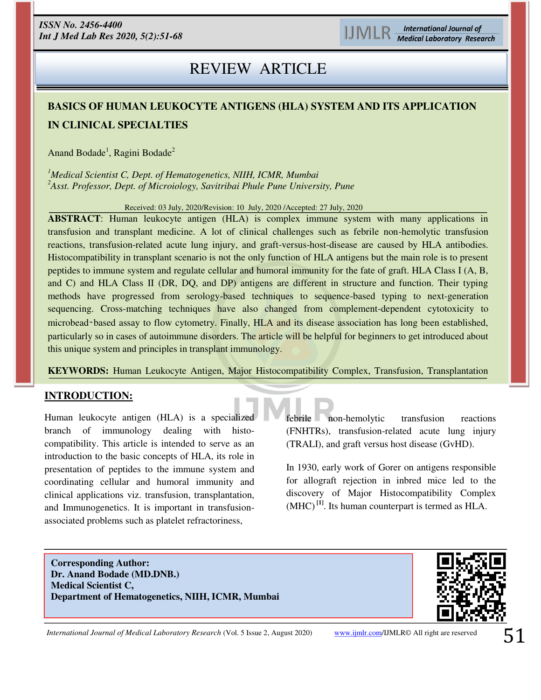# REVIEW ARTICLE

## **BASICS OF HUMAN LEUKOCYTE ANTIGENS (HLA) SYSTEM AND ITS APPLICATION IN CLINICAL SPECIALTIES**

Anand Bodade<sup>1</sup>, Ragini Bodade<sup>2</sup>

*<sup>1</sup>Medical Scientist C, Dept. of Hematogenetics, NIIH, ICMR, Mumbai <sup>2</sup>Asst. Professor, Dept. of Microiology, Savitribai Phule Pune University, Pune*

Received: 03 July, 2020/Revision: 10 July, 2020 /Accepted: 27 July, 2020

**ABSTRACT**: Human leukocyte antigen (HLA) is complex immune system with many applications in transfusion and transplant medicine. A lot of clinical challenges such as febrile non-hemolytic transfusion reactions, transfusion-related acute lung injury, and graft-versus-host-disease are caused by HLA antibodies. Histocompatibility in transplant scenario is not the only function of HLA antigens but the main role is to present peptides to immune system and regulate cellular and humoral immunity for the fate of graft. HLA Class I (A, B, and C) and HLA Class II (DR, DQ, and DP) antigens are different in structure and function. Their typing methods have progressed from serology-based techniques to sequence-based typing to next-generation sequencing. Cross-matching techniques have also changed from complement-dependent cytotoxicity to microbead–based assay to flow cytometry. Finally, HLA and its disease association has long been established, particularly so in cases of autoimmune disorders. The article will be helpful for beginners to get introduced about this unique system and principles in transplant immunology.

**KEYWORDS:** Human Leukocyte Antigen, Major Histocompatibility Complex, Transfusion, Transplantation

#### **INTRODUCTION:**

j

Human leukocyte antigen (HLA) is a specialized branch of immunology dealing with histocompatibility. This article is intended to serve as an introduction to the basic concepts of HLA, its role in presentation of peptides to the immune system and coordinating cellular and humoral immunity and clinical applications viz. transfusion, transplantation, and Immunogenetics. It is important in transfusionassociated problems such as platelet refractoriness,

febrile non-hemolytic transfusion reactions (FNHTRs), transfusion-related acute lung injury (TRALI), and graft versus host disease (GvHD).

In 1930, early work of Gorer on antigens responsible for allograft rejection in inbred mice led to the discovery of Major Histocompatibility Complex (MHC) **[1]**. Its human counterpart is termed as HLA.

**Corresponding Author: Dr. Anand Bodade (MD.DNB.) Medical Scientist C, Department of Hematogenetics, NIIH, ICMR, Mumbai** 



*International Journal of Medical Laboratory Research* (Vol. 5 Issue 2, August 2020) [www.ijmlr.com/](https://www.ijmlr.com/)IJMLR© All right are reserved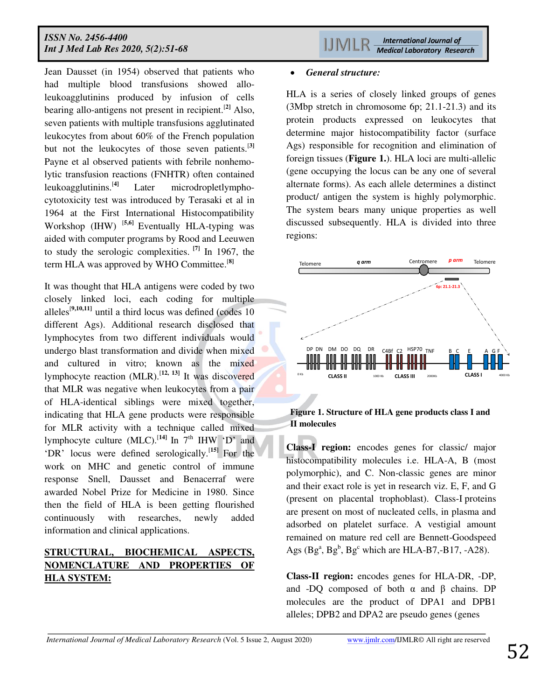Jean Dausset (in 1954) observed that patients who had multiple blood transfusions showed alloleukoagglutinins produced by infusion of cells bearing allo-antigens not present in recipient.[**2]** Also, seven patients with multiple transfusions agglutinated leukocytes from about 60% of the French population but not the leukocytes of those seven patients.[**3]** Payne et al observed patients with febrile nonhemolytic transfusion reactions (FNHTR) often contained leukoagglutinins.[**4]** Later microdropletlymphocytotoxicity test was introduced by Terasaki et al in 1964 at the First International Histocompatibility Workshop (IHW) [**5,6]** Eventually HLA-typing was aided with computer programs by Rood and Leeuwen to study the serologic complexities. **[7]** In 1967, the term HLA was approved by WHO Committee.[**8]** 

It was thought that HLA antigens were coded by two closely linked loci, each coding for multiple alleles<sup>[9,10,11]</sup> until a third locus was defined (codes  $10$ ) different Ags). Additional research disclosed that lymphocytes from two different individuals would undergo blast transformation and divide when mixed and cultured in vitro; known as the mixed lymphocyte reaction (MLR).[**12, 13]** It was discovered that MLR was negative when leukocytes from a pair of HLA-identical siblings were mixed together, indicating that HLA gene products were responsible for MLR activity with a technique called mixed lymphocyte culture  $(MLC)$ .<sup>[14]</sup> In  $7<sup>th</sup>$  IHW 'D' and 'DR' locus were defined serologically.[**15]** For the work on MHC and genetic control of immune response Snell, Dausset and Benacerraf were awarded Nobel Prize for Medicine in 1980. Since then the field of HLA is been getting flourished continuously with researches, newly added information and clinical applications.

## **STRUCTURAL, BIOCHEMICAL ASPECTS, NOMENCLATURE AND PROPERTIES OF HLA SYSTEM:**

#### *General structure:*

HLA is a series of closely linked groups of genes (3Mbp stretch in chromosome 6p; 21.1-21.3) and its protein products expressed on leukocytes that determine major histocompatibility factor (surface Ags) responsible for recognition and elimination of foreign tissues (**Figure 1.**). HLA loci are multi-allelic (gene occupying the locus can be any one of several alternate forms). As each allele determines a distinct product/ antigen the system is highly polymorphic. The system bears many unique properties as well discussed subsequently. HLA is divided into three regions:



#### **Figure 1. Structure of HLA gene products class I and II molecules**

**Class-I region:** encodes genes for classic/ major histocompatibility molecules i.e. HLA-A, B (most polymorphic), and C. Non-classic genes are minor and their exact role is yet in research viz. E, F, and G (present on placental trophoblast). Class-I proteins are present on most of nucleated cells, in plasma and adsorbed on platelet surface. A vestigial amount remained on mature red cell are Bennett-Goodspeed Ags  $(Bg^a, Bg^b, Bg^c$  which are HLA-B7,-B17, -A28).

**Class-II region:** encodes genes for HLA-DR, -DP, and -DQ composed of both  $\alpha$  and  $\beta$  chains. DP molecules are the product of DPA1 and DPB1 alleles; DPB2 and DPA2 are pseudo genes (genes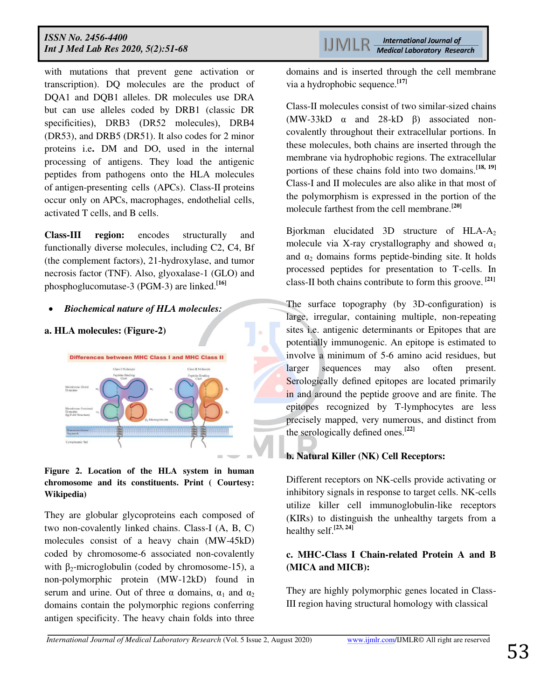with mutations that prevent gene activation or transcription). DQ molecules are the product of DQA1 and DQB1 alleles. DR molecules use DRA but can use alleles coded by DRB1 (classic DR specificities), DRB3 (DR52 molecules), DRB4 (DR53), and DRB5 (DR51). It also codes for 2 minor proteins i.e**.** DM and DO, used in the internal processing of antigens. They load the antigenic peptides from pathogens onto the HLA molecules of antigen-presenting cells (APCs). Class-II proteins occur only on APCs, macrophages, endothelial cells, activated T cells, and B cells.

**Class-III region:** encodes structurally and functionally diverse molecules, including C2, C4, Bf (the complement factors), 21-hydroxylase, and tumor necrosis factor (TNF). Also, glyoxalase-1 (GLO) and phosphoglucomutase-3 (PGM-3) are linked.**[16]** 

#### *Biochemical nature of HLA molecules:*

#### **a. HLA molecules: (Figure-2)**



**Figure 2. Location of the HLA system in human chromosome and its constituents. Print ( Courtesy: Wikipedia)** 

They are globular glycoproteins each composed of two non-covalently linked chains. Class-I (A, B, C) molecules consist of a heavy chain (MW-45kD) coded by chromosome-6 associated non-covalently with  $\beta_2$ -microglobulin (coded by chromosome-15), a non-polymorphic protein (MW-12kD) found in serum and urine. Out of three  $\alpha$  domains,  $\alpha_1$  and  $\alpha_2$ domains contain the polymorphic regions conferring antigen specificity. The heavy chain folds into three

domains and is inserted through the cell membrane via a hydrophobic sequence.**[17]**

Class-II molecules consist of two similar-sized chains (MW-33kD α and 28-kD β) associated noncovalently throughout their extracellular portions. In these molecules, both chains are inserted through the membrane via hydrophobic regions. The extracellular portions of these chains fold into two domains.**[18, 19]**  Class-I and II molecules are also alike in that most of the polymorphism is expressed in the portion of the molecule farthest from the cell membrane.**[20]**

Bjorkman elucidated 3D structure of HLA- $A_2$ molecule via X-ray crystallography and showed  $\alpha_1$ and  $\alpha_2$  domains forms peptide-binding site. It holds processed peptides for presentation to T-cells. In class-II both chains contribute to form this groove. **[21]**

The surface topography (by 3D-configuration) is large, irregular, containing multiple, non-repeating sites i.e. antigenic determinants or Epitopes that are potentially immunogenic. An epitope is estimated to involve a minimum of 5-6 amino acid residues, but larger sequences may also often present. Serologically defined epitopes are located primarily in and around the peptide groove and are finite. The epitopes recognized by T-lymphocytes are less precisely mapped, very numerous, and distinct from the serologically defined ones.**[22]** 

#### **b. Natural Killer (NK) Cell Receptors:**

Different receptors on NK-cells provide activating or inhibitory signals in response to target cells. NK-cells utilize killer cell immunoglobulin-like receptors (KIRs) to distinguish the unhealthy targets from a healthy self.**[23, 24]**

## **c. MHC-Class I Chain-related Protein A and B (MICA and MICB):**

They are highly polymorphic genes located in Class-III region having structural homology with classical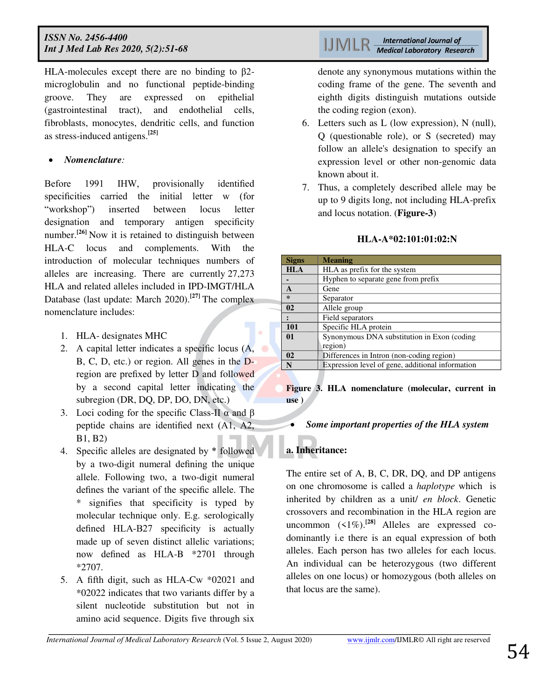HLA-molecules except there are no binding to β2 microglobulin and no functional peptide-binding groove. They are expressed on epithelial (gastrointestinal tract), and endothelial cells, fibroblasts, monocytes, dendritic cells, and function as stress-induced antigens.**[25]**

#### *Nomenclature:*

Before 1991 IHW, provisionally identified specificities carried the initial letter w (for "workshop") inserted between locus letter designation and temporary antigen specificity number.<sup>[26]</sup> Now it is retained to distinguish between HLA-C locus and complements. With the introduction of molecular techniques numbers of alleles are increasing. There are currently 27,273 HLA and related alleles included in IPD-IMGT/HLA Database (last update: March 2020).**[27]** The complex nomenclature includes:

- 1. HLA- designates MHC
- 2. A capital letter indicates a specific locus (A, B, C, D, etc.) or region. All genes in the Dregion are prefixed by letter D and followed by a second capital letter indicating the subregion (DR, DQ, DP, DO, DN, etc.)
- 3. Loci coding for the specific Class-II  $\alpha$  and  $\beta$ peptide chains are identified next (A1, A2, B1, B2)
- 4. Specific alleles are designated by \* followed by a two-digit numeral defining the unique allele. Following two, a two-digit numeral defines the variant of the specific allele. The \* signifies that specificity is typed by molecular technique only. E.g. serologically defined HLA-B27 specificity is actually made up of seven distinct allelic variations; now defined as HLA-B \*2701 through \*2707.
- 5. A fifth digit, such as HLA-Cw \*02021 and \*02022 indicates that two variants differ by a silent nucleotide substitution but not in amino acid sequence. Digits five through six

denote any synonymous mutations within the coding frame of the gene. The seventh and eighth digits distinguish mutations outside the coding region (exon).

- 6. Letters such as L (low expression), N (null), Q (questionable role), or S (secreted) may follow an allele's designation to specify an expression level or other non-genomic data known about it.
- 7. Thus, a completely described allele may be up to 9 digits long, not including HLA-prefix and locus notation. (**Figure-3**)

#### **HLA-A\*02:101:01:02:N**

| <b>Signs</b>  | <b>Meaning</b>                                         |
|---------------|--------------------------------------------------------|
| <b>HLA</b>    | HLA as prefix for the system                           |
|               | Hyphen to separate gene from prefix                    |
| A             | Gene                                                   |
| $\ast$        | Separator                                              |
| 02            | Allele group                                           |
|               | Field separators                                       |
| 101           | Specific HLA protein                                   |
| 01            | Synonymous DNA substitution in Exon (coding<br>region) |
| $\mathbf{02}$ | Differences in Intron (non-coding region)              |
| N             | Expression level of gene, additional information       |

**Figure 3. HLA nomenclature (molecular, current in use )** 

#### *Some important properties of the HLA system*

## **a. Inheritance:**

The entire set of A, B, C, DR, DQ, and DP antigens on one chromosome is called a *haplotype* whichis inherited by children as a unit/ *en block*. Genetic crossovers and recombination in the HLA region are uncommon  $(1\%)$ .<sup>[28]</sup> Alleles are expressed codominantly i.e there is an equal expression of both alleles. Each person has two alleles for each locus. An individual can be heterozygous (two different alleles on one locus) or homozygous (both alleles on that locus are the same).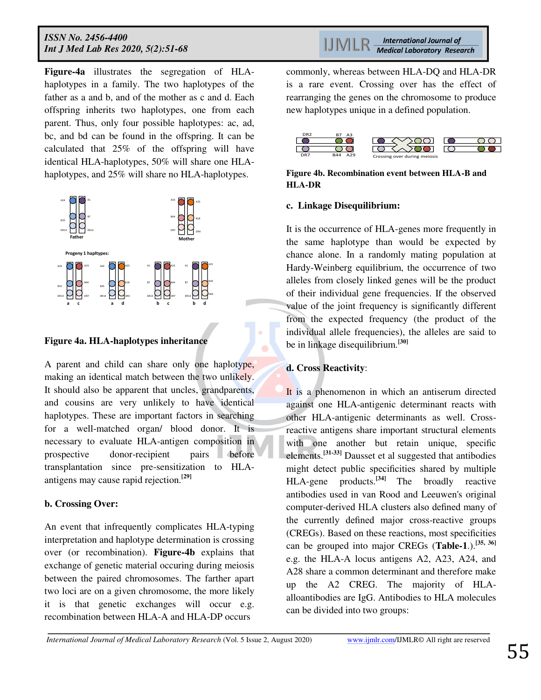**Figure-4a** illustrates the segregation of HLAhaplotypes in a family. The two haplotypes of the father as a and b, and of the mother as c and d. Each offspring inherits two haplotypes, one from each parent. Thus, only four possible haplotypes: ac, ad, bc, and bd can be found in the offspring. It can be calculated that 25% of the offspring will have identical HLA-haplotypes, 50% will share one HLAhaplotypes, and 25% will share no HLA-haplotypes.



#### **Figure 4a. HLA-haplotypes inheritance**

A parent and child can share only one haplotype, making an identical match between the two unlikely. It should also be apparent that uncles, grandparents, and cousins are very unlikely to have identical haplotypes. These are important factors in searching for a well-matched organ/ blood donor. It is necessary to evaluate HLA-antigen composition in prospective donor-recipient pairs before transplantation since pre-sensitization to HLAantigens may cause rapid rejection.**[29]**

#### **b. Crossing Over:**

An event that infrequently complicates HLA-typing interpretation and haplotype determination is crossing over (or recombination). **Figure-4b** explains that exchange of genetic material occuring during meiosis between the paired chromosomes. The farther apart two loci are on a given chromosome, the more likely it is that genetic exchanges will occur e.g. recombination between HLA-A and HLA-DP occurs

**International Journal of** LIMLR **Medical Laboratory Research** 

commonly, whereas between HLA-DQ and HLA-DR is a rare event. Crossing over has the effect of rearranging the genes on the chromosome to produce new haplotypes unique in a defined population.



#### **Figure 4b. Recombination event between HLA-B and HLA-DR**

#### **c. Linkage Disequilibrium:**

It is the occurrence of HLA-genes more frequently in the same haplotype than would be expected by chance alone. In a randomly mating population at Hardy-Weinberg equilibrium, the occurrence of two alleles from closely linked genes will be the product of their individual gene frequencies. If the observed value of the joint frequency is significantly different from the expected frequency (the product of the individual allele frequencies), the alleles are said to be in linkage disequilibrium.**[30]**

#### **d. Cross Reactivity**:

It is a phenomenon in which an antiserum directed against one HLA-antigenic determinant reacts with other HLA-antigenic determinants as well. Crossreactive antigens share important structural elements with one another but retain unique, specific elements.**[31-33]** Dausset et al suggested that antibodies might detect public specificities shared by multiple HLA-gene products.**[34]** The broadly reactive antibodies used in van Rood and Leeuwen's original computer-derived HLA clusters also defined many of the currently defined major cross-reactive groups (CREGs). Based on these reactions, most specificities can be grouped into major CREGs (**Table-1**.).**[35, 36]**  e.g. the HLA-A locus antigens A2, A23, A24, and A28 share a common determinant and therefore make up the A2 CREG. The majority of HLAalloantibodies are IgG. Antibodies to HLA molecules can be divided into two groups: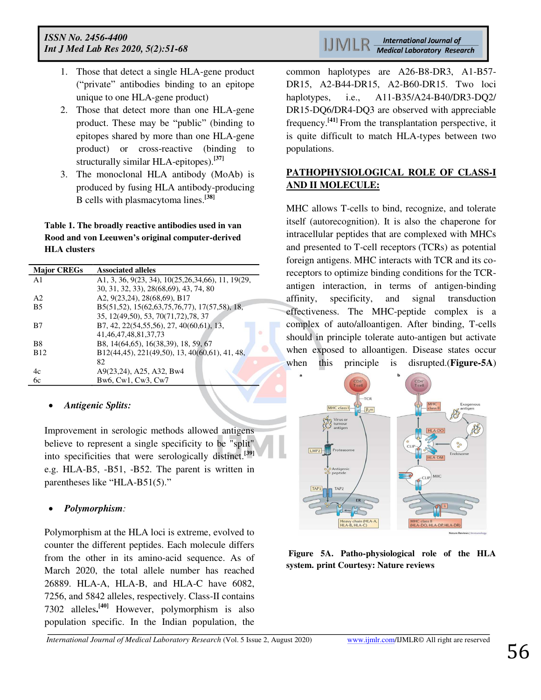- 1. Those that detect a single HLA-gene product ("private" antibodies binding to an epitope unique to one HLA-gene product)
- 2. Those that detect more than one HLA-gene product. These may be "public" (binding to epitopes shared by more than one HLA-gene product) or cross-reactive (binding to structurally similar HLA-epitopes).**[37]**
- 3. The monoclonal HLA antibody (MoAb) is produced by fusing HLA antibody-producing B cells with plasmacytoma lines.**[38]**

**Table 1. The broadly reactive antibodies used in van Rood and von Leeuwen's original computer-derived HLA clusters** 

| <b>Major CREGs</b>     | <b>Associated alleles</b>                            |
|------------------------|------------------------------------------------------|
| $\mathbf{A}1$          | A1, 3, 36, 9(23, 34), 10(25, 26, 34, 66), 11, 19(29, |
|                        | 30, 31, 32, 33), 28(68,69), 43, 74, 80               |
| A <sub>2</sub>         | A2, 9(23,24), 28(68,69), B17                         |
| <b>B5</b>              | B5(51,52), 15(62,63,75,76,77), 17(57,58), 18,        |
|                        | 35, 12(49,50), 53, 70(71,72), 78, 37                 |
| B7                     | B7, 42, 22(54, 55, 56), 27, 40(60, 61), 13,          |
|                        | 41, 46, 47, 48, 81, 37, 73                           |
| B8                     | B8, 14(64,65), 16(38,39), 18, 59, 67                 |
| <b>B</b> <sub>12</sub> | B12(44,45), 221(49,50), 13, 40(60,61), 41, 48,       |
|                        | 82                                                   |
| 4c                     | A9(23,24), A25, A32, Bw4                             |
| 6с                     | Bw6, Cw1, Cw3, Cw7                                   |

#### *Antigenic Splits:*

Improvement in serologic methods allowed antigens believe to represent a single specificity to be "split" into specificities that were serologically distinct.**[39]**  e.g. HLA-B5, -B51, -B52. The parent is written in parentheses like "HLA-B51(5)."

#### *Polymorphism:*

Polymorphism at the HLA loci is extreme, evolved to counter the different peptides. Each molecule differs from the other in its amino-acid sequence. As of March 2020, the total allele number has reached 26889. HLA-A, HLA-B, and HLA-C have 6082, 7256, and 5842 alleles, respectively. Class-II contains 7302 alleles**. [40]** However, polymorphism is also population specific. In the Indian population, the

**International Journal of** HML **Medical Laboratory Research** 

common haplotypes are A26-B8-DR3, A1-B57- DR15, A2-B44-DR15, A2-B60-DR15. Two loci haplotypes, i.e., A11-B35/A24-B40/DR3-DQ2/ DR15-DQ6/DR4-DQ3 are observed with appreciable frequency.**[41]** From the transplantation perspective, it is quite difficult to match HLA-types between two populations.

## **PATHOPHYSIOLOGICAL ROLE OF CLASS-I AND II MOLECULE:**

MHC allows T-cells to bind, recognize, and tolerate itself (autorecognition). It is also the chaperone for intracellular peptides that are complexed with MHCs and presented t[o T-cell receptors](https://en.wikipedia.org/wiki/T_cell_receptor) (TCRs) as potential foreign antigens. MHC interacts with TCR and its coreceptors to optimize binding conditions for the TCRantigen interaction, in terms of antigen-binding affinity, specificity, and signal transduction effectiveness. The MHC-peptide complex is a complex of auto/alloantigen. After binding, T-cells should in principle tolerate auto-antigen but activate when exposed to alloantigen. Disease states occur when this principle is disrupted.(**Figure-5A**)



 **Figure 5A. Patho-physiological role of the HLA system. print Courtesy: Nature reviews**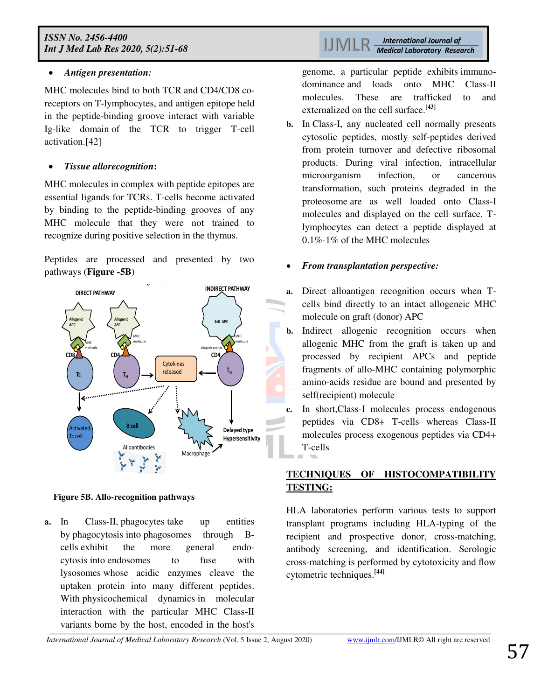### *Antigen presentation:*

MHC molecules bind to both TCR and CD4/CD8 coreceptors on T-lymphocytes, and antigen epitope held in the peptide-binding groove interact with variable Ig-like domain of the TCR to trigger T-cell activation.[42]

### *Tissue allorecognition***:**

MHC molecules in complex with peptide epitopes are essential ligands for TCRs. T-cells become activated by binding to the peptide-binding grooves of any MHC molecule that they were not trained to recognize during positive selection in the thymus.

Peptides are processed and presented by two pathways (**Figure -5B**)



#### **Figure 5B. Allo-recognition pathways**

**a.** In Class-II, [phagocytes](https://en.wikipedia.org/wiki/Phagocytes) take up entities by [phagocytosis](https://en.wikipedia.org/wiki/Phagocytosis) into [phagosomes](https://en.wikipedia.org/wiki/Phagosomes) through [B](https://en.wikipedia.org/wiki/B_cells)[cells](https://en.wikipedia.org/wiki/B_cells) exhibit the more general [endo](https://en.wikipedia.org/wiki/Endocytosis)[cytosis](https://en.wikipedia.org/wiki/Endocytosis) into [endosomes](https://en.wikipedia.org/wiki/Endosomes) to fuse with [lysosomes](https://en.wikipedia.org/wiki/Lysosomes) whose acidic enzymes cleave the uptaken protein into many different peptides. With [physicochemical dynamics](https://en.wikipedia.org/w/index.php?title=Physicochemical_dynamics&action=edit&redlink=1) in molecular interaction with the particular MHC Class-II variants borne by the host, encoded in the host's genome, a particular peptide exhibits [immuno](https://en.wikipedia.org/wiki/Immunodominance)[dominance](https://en.wikipedia.org/wiki/Immunodominance) and loads onto MHC Class-II molecules. These are trafficked to and externalized on the cell surface.**[43]**

**b.** In Class-I, any nucleated cell normally presents cytosolic peptides, mostly self-peptides derived from protein turnover and defective ribosomal products. During viral infection, intracellular microorganism infection, or cancerous transformation, such proteins degraded in the [proteosome](https://en.wikipedia.org/wiki/Proteosome) are as well loaded onto Class-I molecules and displayed on the cell surface. Tlymphocytes can detect a peptide displayed at 0.1%-1% of the MHC molecules

## *From transplantation perspective:*

- **a.** Direct alloantigen recognition occurs when Tcells bind directly to an intact allogeneic MHC molecule on graft (donor) APC
- **b.** Indirect allogenic recognition occurs when allogenic MHC from the graft is taken up and processed by recipient APCs and peptide fragments of allo-MHC containing polymorphic amino-acids residue are bound and presented by self(recipient) molecule
- **c.** In short,Class-I molecules process endogenous peptides via CD8+ T-cells whereas Class-II molecules process exogenous peptides via CD4+ T-cells

## **TECHNIQUES OF HISTOCOMPATIBILITY TESTING:**

HLA laboratories perform various tests to support transplant programs including HLA-typing of the recipient and prospective donor, cross-matching, antibody screening, and identification. Serologic cross-matching is performed by cytotoxicity and flow cytometric techniques.**[44]**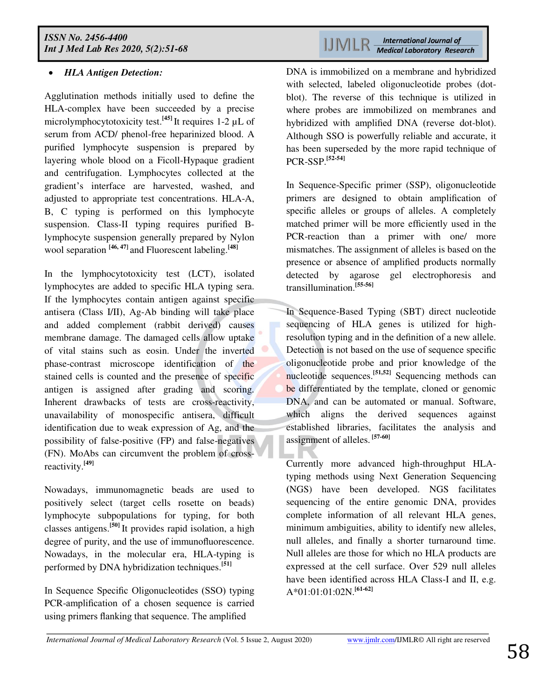## *HLA Antigen Detection:*

Agglutination methods initially used to define the HLA-complex have been succeeded by a precise microlymphocytotoxicity test.**[45]** It requires 1-2 µL of serum from ACD/ phenol-free heparinized blood. A purified lymphocyte suspension is prepared by layering whole blood on a Ficoll-Hypaque gradient and centrifugation. Lymphocytes collected at the gradient's interface are harvested, washed, and adjusted to appropriate test concentrations. HLA-A, B, C typing is performed on this lymphocyte suspension. Class-II typing requires purified Blymphocyte suspension generally prepared by Nylon wool separation **[46, 47]** and Fluorescent labeling.**[48]**

In the lymphocytotoxicity test (LCT), isolated lymphocytes are added to specific HLA typing sera. If the lymphocytes contain antigen against specific antisera (Class I/II), Ag-Ab binding will take place and added complement (rabbit derived) causes membrane damage. The damaged cells allow uptake of vital stains such as eosin. Under the inverted phase-contrast microscope identification of the stained cells is counted and the presence of specific antigen is assigned after grading and scoring. Inherent drawbacks of tests are cross-reactivity, unavailability of monospecific antisera, difficult identification due to weak expression of Ag, and the possibility of false-positive (FP) and false-negatives (FN). MoAbs can circumvent the problem of crossreactivity.**[49]**

Nowadays, immunomagnetic beads are used to positively select (target cells rosette on beads) lymphocyte subpopulations for typing, for both classes antigens.**[50]** It provides rapid isolation, a high degree of purity, and the use of immunofluorescence. Nowadays, in the molecular era, HLA-typing is performed by DNA hybridization techniques.**[51]** 

In Sequence Specific Oligonucleotides (SSO) typing PCR-amplification of a chosen sequence is carried using primers flanking that sequence. The amplified

**International Journal of IJMLR Medical Laboratory Research** 

DNA is immobilized on a membrane and hybridized with selected, labeled oligonucleotide probes (dotblot). The reverse of this technique is utilized in where probes are immobilized on membranes and hybridized with amplified DNA (reverse dot-blot). Although SSO is powerfully reliable and accurate, it has been superseded by the more rapid technique of PCR-SSP.**[52-54]**

In Sequence-Specific primer (SSP), oligonucleotide primers are designed to obtain amplification of specific alleles or groups of alleles. A completely matched primer will be more efficiently used in the PCR-reaction than a primer with one/ more mismatches. The assignment of alleles is based on the presence or absence of amplified products normally detected by agarose gel electrophoresis and transillumination.**[55-56]**

In Sequence-Based Typing (SBT) direct nucleotide sequencing of HLA genes is utilized for highresolution typing and in the definition of a new allele. Detection is not based on the use of sequence specific oligonucleotide probe and prior knowledge of the nucleotide sequences.**[51,52]** Sequencing methods can be differentiated by the template, cloned or genomic DNA, and can be automated or manual. Software, which aligns the derived sequences against established libraries, facilitates the analysis and assignment of alleles. **[57-60]**

Currently more advanced high-throughput HLAtyping methods using Next Generation Sequencing **(**NGS) have been developed. NGS facilitates sequencing of the entire genomic DNA, provides complete information of all relevant HLA genes, minimum ambiguities, ability to identify new alleles, null alleles, and finally a shorter turnaround time. Null alleles are those for which no HLA products are expressed at the cell surface. Over 529 null alleles have been identified across HLA Class-I and II, e.g. A\*01:01:01:02N.**[61-62]**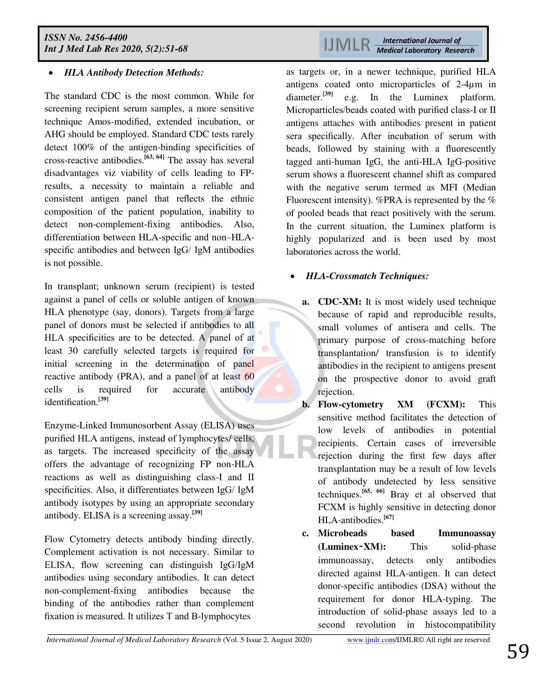## *HLA Antibody Detection Methods:*

The standard CDC is the most common. While for screening recipient serum samples, a more sensitive technique Amos-modified, extended incubation, or AHG should be employed. Standard CDC tests rarely detect 100% of the antigen-binding specificities of cross-reactive antibodies.**[63, 64]** The assay has several disadvantages viz viability of cells leading to FPresults, a necessity to maintain a reliable and consistent antigen panel that reflects the ethnic composition of the patient population, inability to detect non-complement-fixing antibodies. Also, differentiation between HLA-specific and non–HLAspecific antibodies and between IgG/ IgM antibodies is not possible.

In transplant; unknown serum (recipient) is tested against a panel of cells or soluble antigen of known HLA phenotype (say, donors). Targets from a large panel of donors must be selected if antibodies to all HLA specificities are to be detected. A panel of at least 30 carefully selected targets is required for initial screening in the determination of panel reactive antibody (PRA), and a panel of at least 60 cells is required for accurate antibody identification.**[39]** 

Enzyme-Linked Immunosorbent Assay (ELISA) uses purified HLA antigens, instead of lymphocytes/ cells, as targets. The increased specificity of the assay offers the advantage of recognizing FP non-HLA reactions as well as distinguishing class-I and II specificities. Also, it differentiates between IgG/ IgM antibody isotypes by using an appropriate secondary antibody. ELISA is a screening assay.**[39]**

Flow Cytometry detects antibody binding directly. Complement activation is not necessary. Similar to ELISA, flow screening can distinguish IgG/IgM antibodies using secondary antibodies. It can detect non-complement-fixing antibodies because the binding of the antibodies rather than complement fixation is measured. It utilizes T and B-lymphocytes

as targets or, in a newer technique, purified HLA antigens coated onto microparticles of 2-4µm in diameter.**[39]** e.g. In the Luminex platform. Microparticles/beads coated with purified class-I or II antigens attaches with antibodies present in patient sera specifically. After incubation of serum with beads, followed by staining with a fluorescently tagged anti-human IgG, the anti-HLA IgG-positive serum shows a fluorescent channel shift as compared with the negative serum termed as MFI (Median Fluorescent intensity). %PRA is represented by the % of pooled beads that react positively with the serum. In the current situation, the Luminex platform is highly popularized and is been used by most laboratories across the world.

## *HLA-Crossmatch Techniques:*

- **a. CDC-XM:** It is most widely used technique because of rapid and reproducible results, small volumes of antisera and cells. The primary purpose of cross-matching before transplantation/ transfusion is to identify antibodies in the recipient to antigens present on the prospective donor to avoid graft rejection.
- **b. Flow-cytometry XM (FCXM):** This sensitive method facilitates the detection of low levels of antibodies in potential recipients. Certain cases of irreversible rejection during the first few days after transplantation may be a result of low levels of antibody undetected by less sensitive techniques.**[65, 66]** Bray et al observed that FCXM is highly sensitive in detecting donor HLA-antibodies.**[67]**
- **c. Microbeads based Immunoassay (Luminex**‑**XM):** This solid-phase immunoassay, detects only antibodies directed against HLA-antigen. It can detect donor-specific antibodies (DSA) without the requirement for donor HLA-typing. The introduction of solid-phase assays led to a second revolution in histocompatibility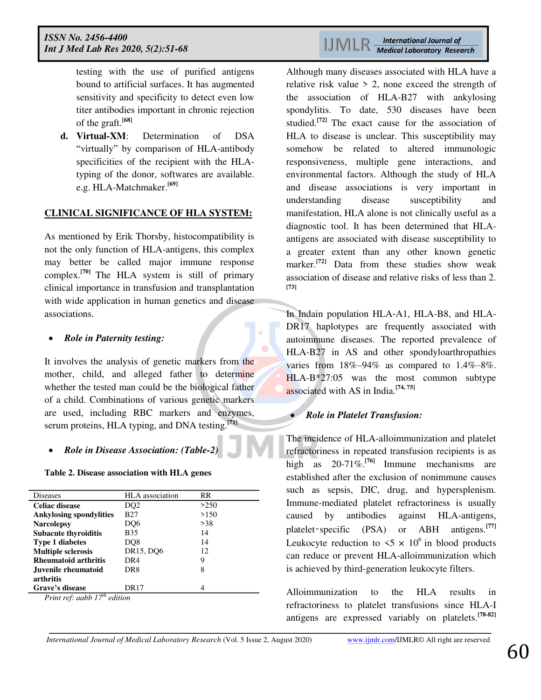testing with the use of purified antigens bound to artificial surfaces. It has augmented sensitivity and specificity to detect even low titer antibodies important in chronic rejection of the graft.**[68]**

**d. Virtual-XM**: Determination of DSA "virtually" by comparison of HLA-antibody specificities of the recipient with the HLAtyping of the donor, softwares are available. e.g. HLA-Matchmaker.**[69]**

#### **CLINICAL SIGNIFICANCE OF HLA SYSTEM:**

As mentioned by Erik Thorsby, histocompatibility is not the only function of HLA-antigens, this complex may better be called major immune response complex.**[70]** The HLA system is still of primary clinical importance in transfusion and transplantation with wide application in human genetics and disease associations.

#### *Role in Paternity testing:*

It involves the analysis of genetic markers from the mother, child, and alleged father to determine whether the tested man could be the biological father of a child. Combinations of various genetic markers are used, including RBC markers and enzymes, serum proteins, HLA typing, and DNA testing.**[71]**

### *Role in Disease Association: (Table-2)*

#### **Table 2. Disease association with HLA genes**

| <b>Diseases</b>                   | <b>HLA</b> association | <b>RR</b> |  |  |
|-----------------------------------|------------------------|-----------|--|--|
| <b>Celiac disease</b>             | DQ2                    | >250      |  |  |
| <b>Ankylosing spondylities</b>    | B27                    | >150      |  |  |
| <b>Narcolepsy</b>                 | DO <sub>6</sub>        | >38       |  |  |
| <b>Subacute thyroiditis</b>       | B35                    | 14        |  |  |
| <b>Type 1 diabetes</b>            | DQ8                    | 14        |  |  |
| <b>Multiple sclerosis</b>         | DR15, DO6              | 12        |  |  |
| <b>Rheumatoid arthritis</b>       | DR4                    | 9         |  |  |
| Juvenile rheumatoid               | DR8                    | 8         |  |  |
| arthritis                         |                        |           |  |  |
| Grave's disease                   | DR17                   |           |  |  |
| Print ref: aabb $17^{th}$ edition |                        |           |  |  |

**International Journal of** LIMLR **Medical Laboratory Research** 

Although many diseases associated with HLA have a relative risk value  $> 2$ , none exceed the strength of the association of HLA-B27 with ankylosing spondylitis. To date, 530 diseases have been studied.**[72]** The exact cause for the association of HLA to disease is unclear. This susceptibility may somehow be related to altered immunologic responsiveness, multiple gene interactions, and environmental factors. Although the study of HLA and disease associations is very important in understanding disease susceptibility and manifestation, HLA alone is not clinically useful as a diagnostic tool. It has been determined that HLAantigens are associated with disease susceptibility to a greater extent than any other known genetic marker.**[72]** Data from these studies show weak association of disease and relative risks of less than 2. **[73]**

In Indain population HLA-A1, HLA-B8, and HLA-DR17 haplotypes are frequently associated with autoimmune diseases. The reported prevalence of HLA-B27 in AS and other spondyloarthropathies varies from 18%–94% as compared to 1.4%–8%. HLA-B\*27:05 was the most common subtype associated with AS in India.**[74, 75]**

#### *Role in Platelet Transfusion:*

The incidence of HLA-alloimmunization and platelet refractoriness in repeated transfusion recipients is as high as 20-71%.**[76]** Immune mechanisms are established after the exclusion of nonimmune causes such as sepsis, DIC, drug, and hypersplenism. Immune-mediated platelet refractoriness is usually caused by antibodies against HLA-antigens, platelet‑specific (PSA) or ABH antigens.**[77]**  Leukocyte reduction to  $5 \times 10^6$  in blood products can reduce or prevent HLA-alloimmunization which is achieved by third-generation leukocyte filters.

Alloimmunization to the HLA results in refractoriness to platelet transfusions since HLA-I antigens are expressed variably on platelets.**[78-82]**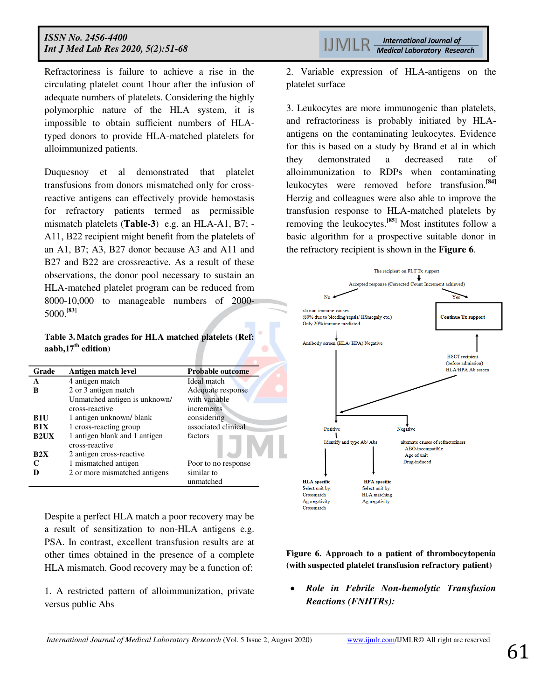Refractoriness is failure to achieve a rise in the circulating platelet count 1hour after the infusion of adequate numbers of platelets. Considering the highly polymorphic nature of the HLA system, it is impossible to obtain sufficient numbers of HLAtyped donors to provide HLA-matched platelets for alloimmunized patients.

Duquesnoy et al demonstrated that platelet transfusions from donors mismatched only for crossreactive antigens can effectively provide hemostasis for refractory patients termed as permissible mismatch platelets (**Table-3**) e.g. an HLA-A1, B7; - A11, B22 recipient might benefit from the platelets of an A1, B7; A3, B27 donor because A3 and A11 and B27 and B22 are crossreactive. As a result of these observations, the donor pool necessary to sustain an HLA-matched platelet program can be reduced from 8000-10,000 to manageable numbers of 2000- 5000.**[83]** 

**Table 3. Match grades for HLA matched platelets (Ref: aabb,17th edition)**

| Grade       | Antigen match level                             | Probable outcome        |
|-------------|-------------------------------------------------|-------------------------|
| A           | 4 antigen match                                 | Ideal match             |
| B           | 2 or 3 antigen match                            | Adequate response       |
|             | Unmatched antigen is unknown/                   | with variable           |
|             | cross-reactive                                  | increments              |
| <b>B1U</b>  | 1 antigen unknown/ blank                        | considering             |
| R1X         | 1 cross-reacting group                          | associated clinical     |
| <b>B2UX</b> | 1 antigen blank and 1 antigen<br>cross-reactive | factors                 |
| R2X         | 2 antigen cross-reactive                        |                         |
| C           | 1 mismatched antigen                            | Poor to no response     |
| D           | 2 or more mismatched antigens                   | similar to<br>unmatched |

Despite a perfect HLA match a poor recovery may be a result of sensitization to non-HLA antigens e.g. PSA. In contrast, excellent transfusion results are at other times obtained in the presence of a complete HLA mismatch. Good recovery may be a function of:

1. A restricted pattern of alloimmunization, private versus public Abs

2. Variable expression of HLA-antigens on the platelet surface

3. Leukocytes are more immunogenic than platelets, and refractoriness is probably initiated by HLAantigens on the contaminating leukocytes. Evidence for this is based on a study by Brand et al in which they demonstrated a decreased rate of alloimmunization to RDPs when contaminating leukocytes were removed before transfusion.**[84]**  Herzig and colleagues were also able to improve the transfusion response to HLA-matched platelets by removing the leukocytes.**[85]** Most institutes follow a basic algorithm for a prospective suitable donor in the refractory recipient is shown in the **Figure 6**.



**Figure 6. Approach to a patient of thrombocytopenia (with suspected platelet transfusion refractory patient)**

 *Role in Febrile Non-hemolytic Transfusion Reactions (FNHTRs):*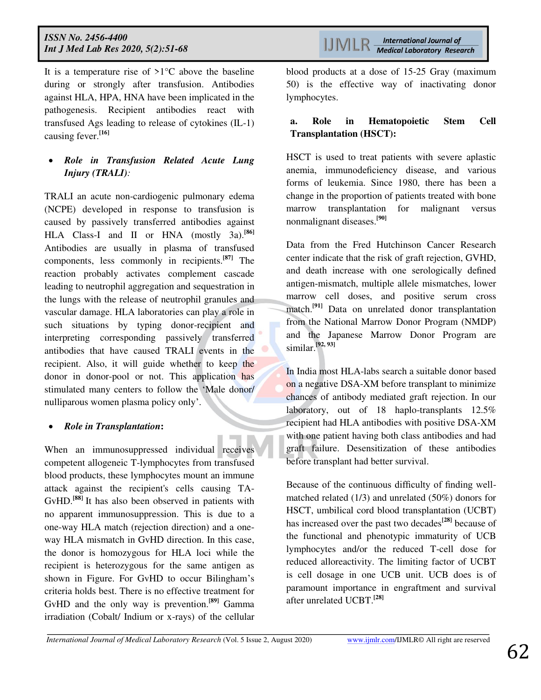It is a temperature rise of  $>1$ °C above the baseline during or strongly after transfusion. Antibodies against HLA, HPA, HNA have been implicated in the pathogenesis. Recipient antibodies react with transfused Ags leading to release of cytokines (IL-1) causing fever.**[16]**

## *Role in Transfusion Related Acute Lung Injury (TRALI):*

TRALI an acute non-cardiogenic pulmonary edema (NCPE) developed in response to transfusion is caused by passively transferred antibodies against HLA Class-I and II or HNA (mostly 3a).<sup>[86]</sup> Antibodies are usually in plasma of transfused components, less commonly in recipients.**[87]** The reaction probably activates complement cascade leading to neutrophil aggregation and sequestration in the lungs with the release of neutrophil granules and vascular damage. HLA laboratories can play a role in such situations by typing donor-recipient and interpreting corresponding passively transferred antibodies that have caused TRALI events in the recipient. Also, it will guide whether to keep the donor in donor-pool or not. This application has stimulated many centers to follow the 'Male donor/ nulliparous women plasma policy only'.

## *Role in Transplantation***:**

When an immunosuppressed individual receives competent allogeneic T-lymphocytes from transfused blood products, these lymphocytes mount an immune attack against the recipient's cells causing TA-GvHD.**[88]** It has also been observed in patients with no apparent immunosuppression. This is due to a one-way HLA match (rejection direction) and a oneway HLA mismatch in GvHD direction. In this case, the donor is homozygous for HLA loci while the recipient is heterozygous for the same antigen as shown in Figure. For GvHD to occur Bilingham's criteria holds best. There is no effective treatment for GvHD and the only way is prevention.**[89]** Gamma irradiation (Cobalt/ Indium or x-rays) of the cellular

blood products at a dose of 15-25 Gray (maximum 50) is the effective way of inactivating donor lymphocytes.

## **a. Role in Hematopoietic Stem Cell Transplantation (HSCT):**

HSCT is used to treat patients with severe aplastic anemia, immunodeficiency disease, and various forms of leukemia. Since 1980, there has been a change in the proportion of patients treated with bone marrow transplantation for malignant versus nonmalignant diseases.**[90]** 

Data from the Fred Hutchinson Cancer Research center indicate that the risk of graft rejection, GVHD, and death increase with one serologically defined antigen-mismatch, multiple allele mismatches, lower marrow cell doses, and positive serum cross match.**[91]** Data on unrelated donor transplantation from the National Marrow Donor Program (NMDP) and the Japanese Marrow Donor Program are similar.**[92, 93]**

In India most HLA-labs search a suitable donor based on a negative DSA-XM before transplant to minimize chances of antibody mediated graft rejection. In our laboratory, out of 18 haplo-transplants 12.5% recipient had HLA antibodies with positive DSA-XM with one patient having both class antibodies and had graft failure. Desensitization of these antibodies before transplant had better survival.

Because of the continuous difficulty of finding wellmatched related (1/3) and unrelated (50%) donors for HSCT, umbilical cord blood transplantation (UCBT) has increased over the past two decades**[28]** because of the functional and phenotypic immaturity of UCB lymphocytes and/or the reduced T-cell dose for reduced alloreactivity. The limiting factor of UCBT is cell dosage in one UCB unit. UCB does is of paramount importance in engraftment and survival after unrelated UCBT.**[28]**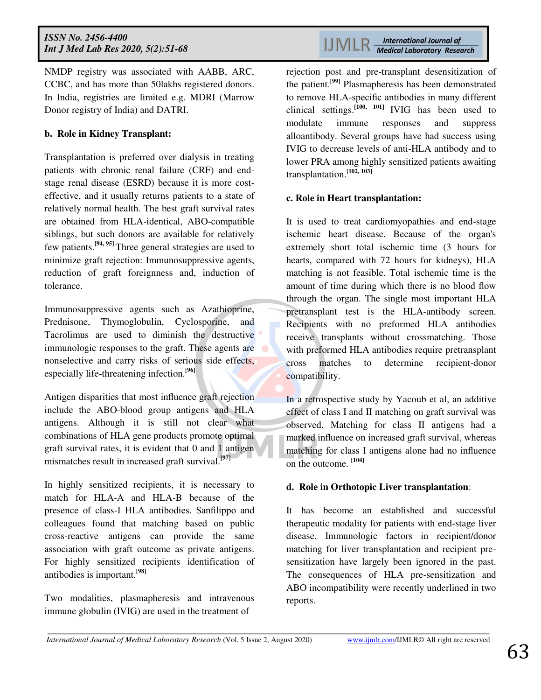NMDP registry was associated with AABB, ARC, CCBC, and has more than 50lakhs registered donors. In India, registries are limited e.g. MDRI (Marrow Donor registry of India) and DATRI.

#### **b. Role in Kidney Transplant:**

Transplantation is preferred over dialysis in treating patients with chronic renal failure (CRF) and endstage renal disease (ESRD) because it is more costeffective, and it usually returns patients to a state of relatively normal health. The best graft survival rates are obtained from HLA-identical, ABO-compatible siblings, but such donors are available for relatively few patients.**[94, 95]** Three general strategies are used to minimize graft rejection: Immunosuppressive agents, reduction of graft foreignness and, induction of tolerance.

Immunosuppressive agents such as Azathioprine, Prednisone, Thymoglobulin, Cyclosporine, and Tacrolimus are used to diminish the destructive immunologic responses to the graft. These agents are nonselective and carry risks of serious side effects, especially life-threatening infection.**[96]**

Antigen disparities that most influence graft rejection include the ABO-blood group antigens and HLA antigens. Although it is still not clear what combinations of HLA gene products promote optimal graft survival rates, it is evident that 0 and 1 antigen mismatches result in increased graft survival.**[97]** 

In highly sensitized recipients, it is necessary to match for HLA-A and HLA-B because of the presence of class-I HLA antibodies. Sanfilippo and colleagues found that matching based on public cross-reactive antigens can provide the same association with graft outcome as private antigens. For highly sensitized recipients identification of antibodies is important.**[98]**

Two modalities, plasmapheresis and intravenous immune globulin (IVIG) are used in the treatment of

**International Journal of** IJMLR-**Medical Laboratory Research** 

rejection post and pre-transplant desensitization of the patient.**[99]** Plasmapheresis has been demonstrated to remove HLA-specific antibodies in many different clinical settings.**[100, 101]** IVIG has been used to modulate immune responses and suppress alloantibody. Several groups have had success using IVIG to decrease levels of anti-HLA antibody and to lower PRA among highly sensitized patients awaiting transplantation.**[102, 103]** 

#### **c. Role in Heart transplantation:**

It is used to treat cardiomyopathies and end-stage ischemic heart disease. Because of the organ's extremely short total ischemic time (3 hours for hearts, compared with 72 hours for kidneys), HLA matching is not feasible. Total ischemic time is the amount of time during which there is no blood flow through the organ. The single most important HLA pretransplant test is the HLA-antibody screen. Recipients with no preformed HLA antibodies receive transplants without crossmatching. Those with preformed HLA antibodies require pretransplant cross matches to determine recipient-donor compatibility.

In a retrospective study by Yacoub et al, an additive effect of class I and II matching on graft survival was observed. Matching for class II antigens had a marked influence on increased graft survival, whereas matching for class I antigens alone had no influence on the outcome. **[104]**

#### **d. Role in Orthotopic Liver transplantation**:

It has become an established and successful therapeutic modality for patients with end-stage liver disease. Immunologic factors in recipient/donor matching for liver transplantation and recipient presensitization have largely been ignored in the past. The consequences of HLA pre-sensitization and ABO incompatibility were recently underlined in two reports.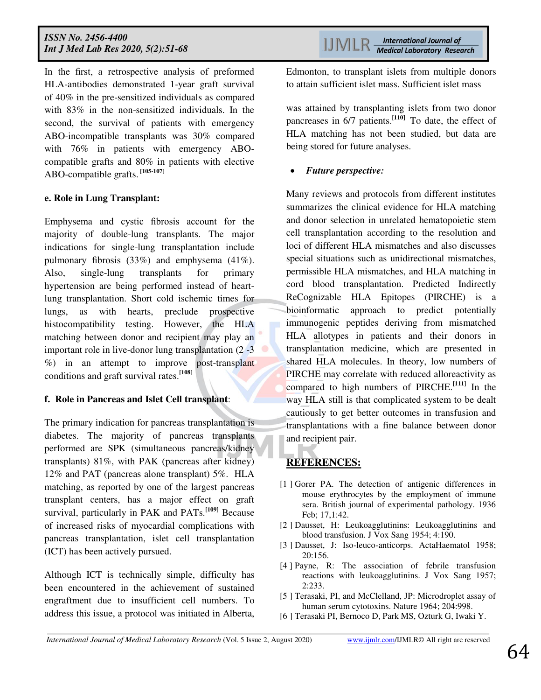In the first, a retrospective analysis of preformed HLA-antibodies demonstrated 1-year graft survival of 40% in the pre-sensitized individuals as compared with 83% in the non-sensitized individuals. In the second, the survival of patients with emergency ABO-incompatible transplants was 30% compared with 76% in patients with emergency ABOcompatible grafts and 80% in patients with elective ABO-compatible grafts. **[105-107]**

#### **e. Role in Lung Transplant:**

Emphysema and cystic fibrosis account for the majority of double-lung transplants. The major indications for single-lung transplantation include pulmonary fibrosis (33%) and emphysema (41%). Also, single-lung transplants for primary hypertension are being performed instead of heartlung transplantation. Short cold ischemic times for lungs, as with hearts, preclude prospective histocompatibility testing. However, the HLA matching between donor and recipient may play an important role in live-donor lung transplantation (2 -3 %) in an attempt to improve post-transplant conditions and graft survival rates.**[108]**

#### **f. Role in Pancreas and Islet Cell transplant**:

The primary indication for pancreas transplantation is diabetes. The majority of pancreas transplants performed are SPK (simultaneous pancreas/kidney transplants) 81%, with PAK (pancreas after kidney) 12% and PAT (pancreas alone transplant) 5%. HLA matching, as reported by one of the largest pancreas transplant centers, has a major effect on graft survival, particularly in PAK and PATs.<sup>[109]</sup> Because of increased risks of myocardial complications with pancreas transplantation, islet cell transplantation (ICT) has been actively pursued.

Although ICT is technically simple, difficulty has been encountered in the achievement of sustained engraftment due to insufficient cell numbers. To address this issue, a protocol was initiated in Alberta,

**International Journal of IJMLR Medical Laboratory Research** 

Edmonton, to transplant islets from multiple donors to attain sufficient islet mass. Sufficient islet mass

was attained by transplanting islets from two donor pancreases in 6/7 patients.**[110]** To date, the effect of HLA matching has not been studied, but data are being stored for future analyses.

#### *Future perspective:*

Many reviews and protocols from different institutes summarizes the clinical evidence for HLA matching and donor selection in unrelated hematopoietic stem cell transplantation according to the resolution and loci of different HLA mismatches and also discusses special situations such as unidirectional mismatches, permissible HLA mismatches, and HLA matching in cord blood transplantation. Predicted Indirectly ReCognizable HLA Epitopes (PIRCHE) is a bioinformatic approach to predict potentially immunogenic peptides deriving from mismatched HLA allotypes in patients and their donors in transplantation medicine, which are presented in shared HLA molecules. In theory, low numbers of PIRCHE may correlate with reduced alloreactivity as compared to high numbers of PIRCHE.**[111]** In the way HLA still is that complicated system to be dealt cautiously to get better outcomes in transfusion and transplantations with a fine balance between donor and recipient pair.

## **REFERENCES:**

- [1 ] Gorer PA. The detection of antigenic differences in mouse erythrocytes by the employment of immune sera. British journal of experimental pathology. 1936 Feb; 17,1:42.
- [2 ] Dausset, H: Leukoagglutinins: Leukoagglutinins and blood transfusion. J Vox Sang 1954; 4:190.
- [3] Dausset, J: Iso-leuco-anticorps. ActaHaematol 1958; 20:156.
- [4 ] Payne, R: The association of febrile transfusion reactions with leukoagglutinins. J Vox Sang 1957; 2:233.
- [5 ] Terasaki, PI, and McClelland, JP: Microdroplet assay of human serum cytotoxins. Nature 1964; 204:998.
- [6 ] Terasaki PI, Bernoco D, Park MS, Ozturk G, Iwaki Y.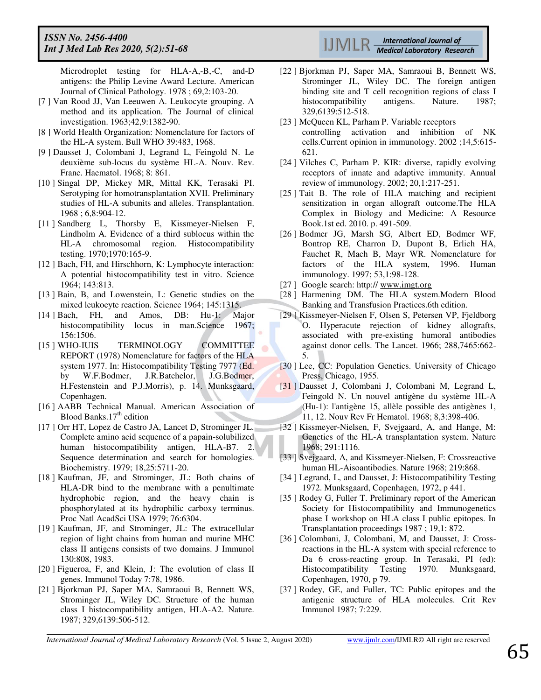Microdroplet testing for HLA-A,-B,-C, and-D antigens: the Philip Levine Award Lecture. American Journal of Clinical Pathology. 1978 ; 69,2:103-20.

- [7 ] Van Rood JJ, Van Leeuwen A. Leukocyte grouping. A method and its application. The Journal of clinical investigation. 1963;42,9:1382-90.
- [8 ] World Health Organization: Nomenclature for factors of the HL-A system. Bull WHO 39:483, 1968.
- [9 ] Dausset J, Colombani J, Legrand L, Feingold N. Le deuxième sub-locus du système HL-A. Nouv. Rev. Franc. Haematol. 1968; 8: 861.
- [10 ] Singal DP, Mickey MR, Mittal KK, Terasaki PI. Serotyping for homotransplantation XVII. Preliminary studies of HL-A subunits and alleles. Transplantation. 1968 ; 6,8:904-12.
- [11 ] Sandberg L, Thorsby E, Kissmeyer-Nielsen F, Lindholm A. Evidence of a third sublocus within the HL-A chromosomal region. Histocompatibility testing. 1970;1970:165-9.
- [12] Bach, FH, and Hirschhorn, K: Lymphocyte interaction: A potential histocompatibility test in vitro. Science 1964; 143:813.
- [13 ] Bain, B, and Lowenstein, L: Genetic studies on the mixed leukocyte reaction. Science 1964; 145:1315.
- [14 ] Bach, FH, and Amos, DB: Hu-1: Major histocompatibility locus in man.Science 1967; 156:1506.
- [15 ] WHO-IUIS TERMINOLOGY COMMITTEE REPORT (1978) Nomenclature for factors of the HLA system 1977. In: Histocompatibility Testing 7977 (Ed. by W.F.Bodmer, J.R.Batchelor, J.G.Bodmer, H.Festenstein and P.J.Morris), p. 14. Munksgaard, Copenhagen.
- [16 ] AABB Technical Manual. American Association of Blood Banks.17<sup>th</sup> edition
- [17 ] Orr HT, Lopez de Castro JA, Lancet D, Strominger JL. Complete amino acid sequence of a papain-solubilized human histocompatibility antigen, HLA-B7. 2. Sequence determination and search for homologies. Biochemistry. 1979; 18,25:5711-20.
- [18] Kaufman, JF, and Strominger, JL: Both chains of HLA-DR bind to the membrane with a penultimate hydrophobic region, and the heavy chain is phosphorylated at its hydrophilic carboxy terminus. Proc Natl AcadSci USA 1979; 76:6304.
- [19 ] Kaufman, JF, and Strominger, JL: The extracellular region of light chains from human and murine MHC class II antigens consists of two domains. J Immunol 130:808, 1983.
- [20 ] Figueroa, F, and Klein, J: The evolution of class II genes. Immunol Today 7:78, 1986.
- [21 ] Bjorkman PJ, Saper MA, Samraoui B, Bennett WS, Strominger JL, Wiley DC. Structure of the human class I histocompatibility antigen, HLA-A2. Nature. 1987; 329,6139:506-512.

**International Journal of Medical Laboratory Research** 

- [22 ] Bjorkman PJ, Saper MA, Samraoui B, Bennett WS, Strominger JL, Wiley DC. The foreign antigen binding site and T cell recognition regions of class I histocompatibility antigens. Nature. 1987; 329,6139:512-518.
- [23 ] McQueen KL, Parham P. Variable receptors controlling activation and inhibition of NK cells.Current opinion in immunology. 2002 ;14,5:615- 621.
- [24 ] Vilches C, Parham P. KIR: diverse, rapidly evolving receptors of innate and adaptive immunity. Annual review of immunology. 2002; 20,1:217-251.
- [25] Tait B. The role of HLA matching and recipient sensitization in organ allograft outcome.The HLA Complex in Biology and Medicine: A Resource Book.1st ed. 2010. p. 491-509.
- [26 ] Bodmer JG, Marsh SG, Albert ED, Bodmer WF, Bontrop RE, Charron D, Dupont B, Erlich HA, Fauchet R, Mach B, Mayr WR. Nomenclature for factors of the HLA system, 1996. Human immunology. 1997; 53,1:98-128.
- [27] Google search: http:// [www.imgt.org](http://www.imgt.org/)
- [28 ] Harmening DM. The HLA system.Modern Blood Banking and Transfusion Practices.6th edition.
- [29 ] Kissmeyer-Nielsen F, Olsen S, Petersen VP, Fjeldborg O. Hyperacute rejection of kidney allografts, associated with pre-existing humoral antibodies against donor cells. The Lancet. 1966; 288,7465:662- 5.
- [30 ] Lee, CC: Population Genetics. University of Chicago Press, Chicago, 1955.
- [31 ] Dausset J, Colombani J, Colombani M, Legrand L, Feingold N. Un nouvel antigène du système HL-A (Hu-1): l'antigène 15, allèle possible des antigènes 1, 11, 12. Nouv Rev Fr Hematol. 1968; 8,3:398-406.
- [32 ] Kissmeyer-Nielsen, F, Svejgaard, A, and Hange, M: Genetics of the HL-A transplantation system. Nature 1968; 291:1116.
- [33 ] Svejgaard, A, and Kissmeyer-Nielsen, F: Crossreactive human HL-Aisoantibodies. Nature 1968; 219:868.
- [34] Legrand, L, and Dausset, J: Histocompatibility Testing 1972. Munksgaard, Copenhagen, 1972, p 441.
- [35 ] Rodey G, Fuller T. Preliminary report of the American Society for Histocompatibility and Immunogenetics phase I workshop on HLA class I public epitopes. In Transplantation proceedings 1987 ; 19,1: 872.
- [36 ] Colombani, J, Colombani, M, and Dausset, J: Crossreactions in the HL-A system with special reference to Da 6 cross-reacting group. In Terasaki, PI (ed): Histocompatibility Testing 1970. Munksgaard, Copenhagen, 1970, p 79.
- [37 ] Rodey, GE, and Fuller, TC: Public epitopes and the antigenic structure of HLA molecules. Crit Rev Immunol 1987; 7:229.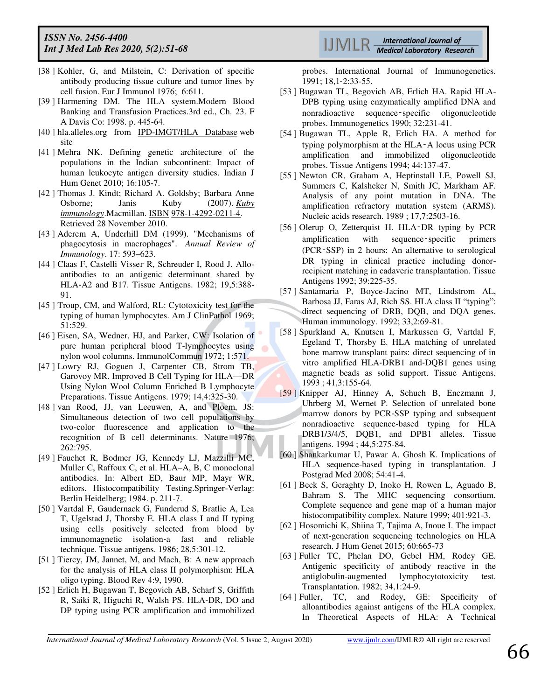- [38 ] Kohler, G, and Milstein, C: Derivation of specific antibody producing tissue culture and tumor lines by cell fusion. Eur J Immunol 1976; 6:611.
- [39 ] Harmening DM. The HLA system.Modern Blood Banking and Transfusion Practices.3rd ed., Ch. 23. F A Davis Co: 1998. p. 445-64.
- [40 ] hla.alleles.org from [IPD-IMGT/HLA Database](http://www.ebi.ac.uk/ipd/imgt/hla/) web site
- [41 ] Mehra NK. Defining genetic architecture of the populations in the Indian subcontinent: Impact of human leukocyte antigen diversity studies. Indian J Hum Genet 2010; 16:105-7.
- [42 ] Thomas J. Kindt; Richard A. Goldsby; Barbara Anne Osborne; Janis Kuby (2007). *[Kuby](https://books.google.com/books?id=oOsFf2WfE5wC&pg=PA223)  [immunology](https://books.google.com/books?id=oOsFf2WfE5wC&pg=PA223)*.Macmillan[. ISBN](https://en.wikipedia.org/wiki/ISBN_(identifier)) [978-1-4292-0211-4.](https://en.wikipedia.org/wiki/Special:BookSources/978-1-4292-0211-4)  Retrieved 28 November 2010.
- [43 ] Aderem A, Underhill DM (1999). "Mechanisms of phagocytosis in macrophages". *Annual Review of Immunology*. 17: 593–623.
- [44 ] Claas F, Castelli Visser R, Schreuder I, Rood J. Alloantibodies to an antigenic determinant shared by HLA‐A2 and B17. Tissue Antigens. 1982; 19,5:388- 91.
- [45] Troup, CM, and Walford, RL: Cytotoxicity test for the typing of human lymphocytes. Am J ClinPathol 1969; 51:529.
- [46 ] Eisen, SA, Wedner, HJ, and Parker, CW: Isolation of pure human peripheral blood T-lymphocytes using nylon wool columns. ImmunolCommun 1972; 1:571.
- [47 ] Lowry RJ, Goguen J, Carpenter CB, Strom TB, Garovoy MR. Improved B Cell Typing for HLA—DR Using Nylon Wool Column Enriched B Lymphocyte Preparations. Tissue Antigens. 1979; 14,4:325-30.
- [48 ] van Rood, JJ, van Leeuwen, A, and Ploem, JS: Simultaneous detection of two cell populations by two-color fluorescence and application to the recognition of B cell determinants. Nature 1976; 262:795.
- [49 ] Fauchet R, Bodmer JG, Kennedy LJ, Mazzilli MC, Muller C, Raffoux C, et al. HLA–A, B, C monoclonal antibodies. In: Albert ED, Baur MP, Mayr WR, editors. Histocompatibility Testing.Springer-Verlag: Berlin Heidelberg; 1984. p. 211-7.
- [50 ] Vartdal F, Gaudernack G, Funderud S, Bratlie A, Lea T, Ugelstad J, Thorsby E. HLA class I and II typing using cells positively selected from blood by immunomagnetic isolation‐a fast and reliable technique. Tissue antigens. 1986; 28,5:301-12.
- [51 ] Tiercy, JM, Jannet, M, and Mach, B: A new approach for the analysis of HLA class II polymorphism: HLA oligo typing. Blood Rev 4:9, 1990.
- [52 ] Erlich H, Bugawan T, Begovich AB, Scharf S, Griffith R, Saiki R, Higuchi R, Walsh PS. HLA‐DR, DO and DP typing using PCR amplification and immobilized

**International Journal of Medical Laboratory Research** 

probes. International Journal of Immunogenetics. 1991; 18,1‐2:33-55.

- [53 ] Bugawan TL, Begovich AB, Erlich HA. Rapid HLA-DPB typing using enzymatically amplified DNA and nonradioactive sequence‑specific oligonucleotide probes. Immunogenetics 1990; 32:231-41.
- [54 ] Bugawan TL, Apple R, Erlich HA. A method for typing polymorphism at the HLA‑A locus using PCR amplification and immobilized oligonucleotide probes. Tissue Antigens 1994; 44:137-47.
- [55 ] Newton CR, Graham A, Heptinstall LE, Powell SJ, Summers C, Kalsheker N, Smith JC, Markham AF. Analysis of any point mutation in DNA. The amplification refractory mutation system (ARMS). Nucleic acids research. 1989 ; 17,7:2503-16.
- [56 ] Olerup O, Zetterquist H. HLA-DR typing by PCR amplification with sequence‑specific primers (PCR‑SSP) in 2 hours: An alternative to serological DR typing in clinical practice including donorrecipient matching in cadaveric transplantation. Tissue Antigens 1992; 39:225-35.
- [57 ] Santamaria P, Boyce-Jacino MT, Lindstrom AL, Barbosa JJ, Faras AJ, Rich SS. HLA class II "typing": direct sequencing of DRB, DQB, and DQA genes. Human immunology. 1992; 33,2:69-81.
- [58 ] Spurkland A, Knutsen I, Markussen G, Vartdal F, Egeland T, Thorsby E. HLA matching of unrelated bone marrow transplant pairs: direct sequencing of in vitro amplified HLA‐DRB1 and‐DQB1 genes using magnetic beads as solid support. Tissue Antigens. 1993 ; 41,3:155-64.
- [59 ] Knipper AJ, Hinney A, Schuch B, Enczmann J, Uhrberg M, Wernet P. Selection of unrelated bone marrow donors by PCR‐SSP typing and subsequent nonradioactive sequence‐based typing for HLA DRB1/3/4/5, DOB1, and DPB1 alleles. Tissue antigens. 1994 ; 44,5:275-84.
- [60 ] Shankarkumar U, Pawar A, Ghosh K. Implications of HLA sequence-based typing in transplantation. J Postgrad Med 2008; 54:41-4.
- [61 ] Beck S, Geraghty D, Inoko H, Rowen L, Aguado B, Bahram S. The MHC sequencing consortium. Complete sequence and gene map of a human major histocompatibility complex. Nature 1999; 401:921-3.
- [62 ] Hosomichi K, Shiina T, Tajima A, Inoue I. The impact of next-generation sequencing technologies on HLA research. J Hum Genet 2015; 60:665-73
- [63 ] Fuller TC, Phelan DO, Gebel HM, Rodey GE. Antigenic specificity of antibody reactive in the antiglobulin-augmented lymphocytotoxicity test. Transplantation. 1982; 34,1:24-9.
- [64 ] Fuller, TC, and Rodey, GE: Specificity of alloantibodies against antigens of the HLA complex. In Theoretical Aspects of HLA: A Technical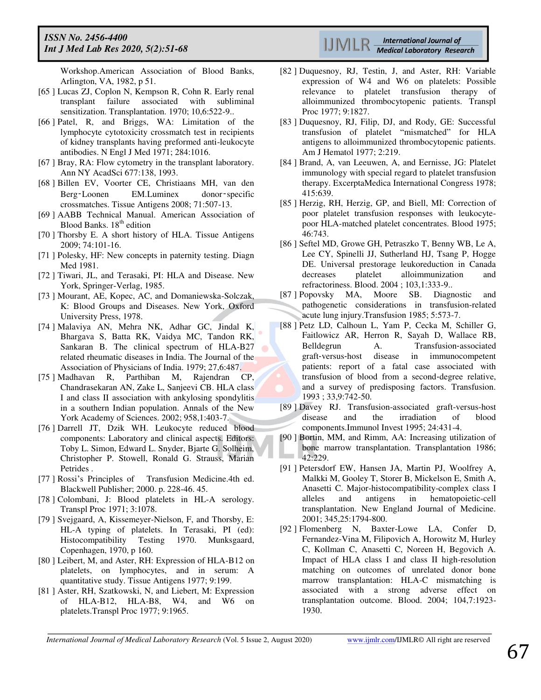Workshop.American Association of Blood Banks, Arlington, VA, 1982, p 51.

- [65 ] Lucas ZJ, Coplon N, Kempson R, Cohn R. Early renal transplant failure associated with subliminal sensitization. Transplantation. 1970; 10,6:522-9..
- [66 ] Patel, R, and Briggs, WA: Limitation of the lymphocyte cytotoxicity crossmatch test in recipients of kidney transplants having preformed anti-leukocyte antibodies. N Engl J Med 1971; 284:1016.
- [67 ] Bray, RA: Flow cytometry in the transplant laboratory. Ann NY AcadSci 677:138, 1993.
- [68 ] Billen EV, Voorter CE, Christiaans MH, van den Berg‑Loonen EM.Luminex donor‑specific crossmatches. Tissue Antigens 2008; 71:507-13.
- [69 ] AABB Technical Manual. American Association of Blood Banks. 18<sup>th</sup> edition
- [70 ] Thorsby E. A short history of HLA. Tissue Antigens 2009; 74:101-16.
- [71 ] Polesky, HF: New concepts in paternity testing. Diagn Med 1981.
- [72 ] Tiwari, JL, and Terasaki, PI: HLA and Disease. New York, Springer-Verlag, 1985.
- [73] Mourant, AE, Kopec, AC, and Domaniewska-Solczak, K: Blood Groups and Diseases. New York, Oxford University Press, 1978.
- [74 ] Malaviya AN, Mehra NK, Adhar GC, Jindal K, Bhargava S, Batta RK, Vaidya MC, Tandon RK, Sankaran B. The clinical spectrum of HLA-B27 related rheumatic diseases in India. The Journal of the Association of Physicians of India. 1979; 27,6:487.
- [75 ] Madhavan R, Parthiban M, Rajendran CP, Chandrasekaran AN, Zake L, Sanjeevi CB. HLA class I and class II association with ankylosing spondylitis in a southern Indian population. Annals of the New York Academy of Sciences. 2002; 958,1:403-7.
- [76 ] Darrell JT, Dzik WH. Leukocyte reduced blood components: Laboratory and clinical aspects. Editors: Toby L. Simon, Edward L. Snyder, Bjarte G. Solheim, Christopher P. Stowell, Ronald G. Strauss, Marian Petrides .
- [77 ] Rossi's Principles of Transfusion Medicine.4th ed. Blackwell Publisher; 2000. p. 228-46. 45.
- [78 ] Colombani, J: Blood platelets in HL-A serology. Transpl Proc 1971; 3:1078.
- [79 ] Svejgaard, A, Kissemeyer-Nielson, F, and Thorsby, E: HL-A typing of platelets. In Terasaki, PI (ed): Histocompatibility Testing 1970. Munksgaard, Copenhagen, 1970, p 160.
- [80] Leibert, M, and Aster, RH: Expression of HLA-B12 on platelets, on lymphocytes, and in serum: A quantitative study. Tissue Antigens 1977; 9:199.
- [81 ] Aster, RH, Szatkowski, N, and Liebert, M: Expression of HLA-B12, HLA-B8, W4, and W6 on platelets.Transpl Proc 1977; 9:1965.



- [82 ] Duquesnoy, RJ, Testin, J, and Aster, RH: Variable expression of W4 and W6 on platelets: Possible relevance to platelet transfusion therapy of alloimmunized thrombocytopenic patients. Transpl Proc 1977; 9:1827.
- [83 ] Duquesnoy, RJ, Filip, DJ, and Rody, GE: Successful transfusion of platelet "mismatched" for HLA antigens to alloimmunized thrombocytopenic patients. Am J Hematol 1977; 2:219.
- [84 ] Brand, A, van Leeuwen, A, and Eernisse, JG: Platelet immunology with special regard to platelet transfusion therapy. ExcerptaMedica International Congress 1978; 415:639.
- [85 ] Herzig, RH, Herzig, GP, and Biell, MI: Correction of poor platelet transfusion responses with leukocytepoor HLA-matched platelet concentrates. Blood 1975; 46:743.
- [86 ] Seftel MD, Growe GH, Petraszko T, Benny WB, Le A, Lee CY, Spinelli JJ, Sutherland HJ, Tsang P, Hogge DE. Universal prestorage leukoreduction in Canada decreases platelet alloimmunization and refractoriness. Blood. 2004 ; 103,1:333-9..
- [87 ] Popovsky MA, Moore SB. Diagnostic and pathogenetic considerations in transfusion-related acute lung injury.Transfusion 1985; 5:573-7.
- [88 ] Petz LD, Calhoun L, Yam P, Cecka M, Schiller G, Faitlowicz AR, Herron R, Sayah D, Wallace RB, Belldegrun A. Transfusion-associated<br>graft-versus-host disease in immunocompetent immunocompetent patients: report of a fatal case associated with transfusion of blood from a second‐degree relative, and a survey of predisposing factors. Transfusion. 1993 ; 33,9:742-50.
- [89 ] Davey RJ. Transfusion-associated graft-versus-host disease and the irradiation of blood components.Immunol Invest 1995; 24:431-4.
- [90 ] Bortin, MM, and Rimm, AA: Increasing utilization of bone marrow transplantation. Transplantation 1986; 42:229.
- [91 ] Petersdorf EW, Hansen JA, Martin PJ, Woolfrey A, Malkki M, Gooley T, Storer B, Mickelson E, Smith A, Anasetti C. Major-histocompatibility-complex class I alleles and antigens in hematopoietic-cell transplantation. New England Journal of Medicine. 2001; 345,25:1794-800.
- [92 ] Flomenberg N, Baxter-Lowe LA, Confer D, Fernandez-Vina M, Filipovich A, Horowitz M, Hurley C, Kollman C, Anasetti C, Noreen H, Begovich A. Impact of HLA class I and class II high-resolution matching on outcomes of unrelated donor bone marrow transplantation: HLA-C mismatching is associated with a strong adverse effect on transplantation outcome. Blood. 2004; 104,7:1923- 1930.